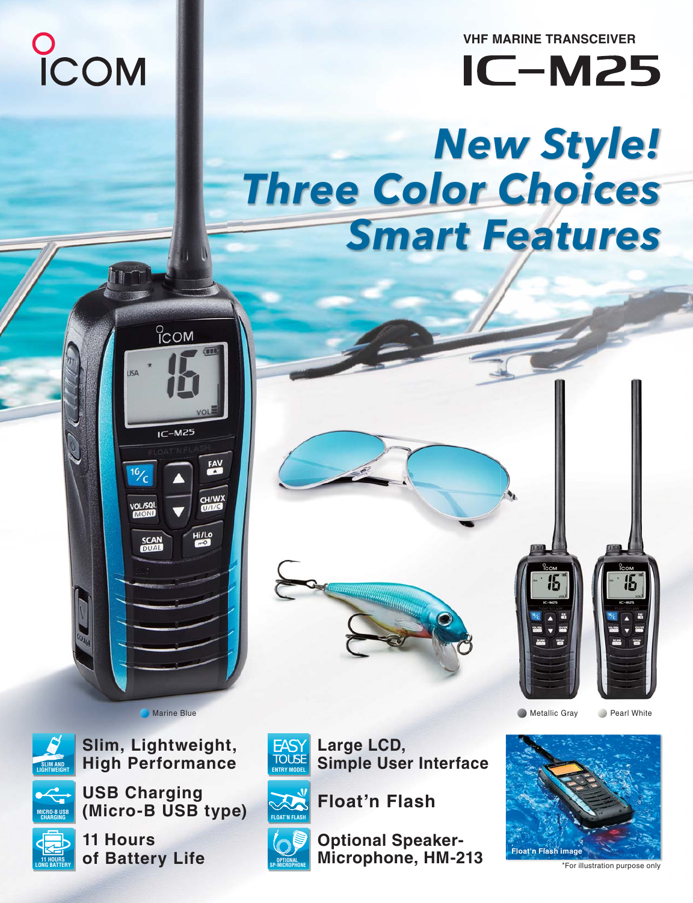

**VHF MARINE TRANSCEIVER**

**IC-M25** 

# *New Style! Three Color Choices Smart Features*



**Slim, Lightweight,**

 $^{\circ}$ <sub>COM</sub>

 $IC-M25$ 

**SCAN**<br>DUAL

CH/W<sub>2</sub>

Hi/Lo



**USB Charging Micro-BUSB CHARGING (MICIC** B USB type)



of Batter<sup>®</sup> **10NG BATTERY OT BATTERY LITE** 



**Large LCD,** 



**Simple User Interface Float,**

**Marine Blue** Metallic Gray **Pearl White** Metallic Gray **Pearl White** Metallic Gray **Pearl White** 



**COPTIONAL MICROPHONE, HM-213 Float'n Flash image** 



\*For illustration purpose only